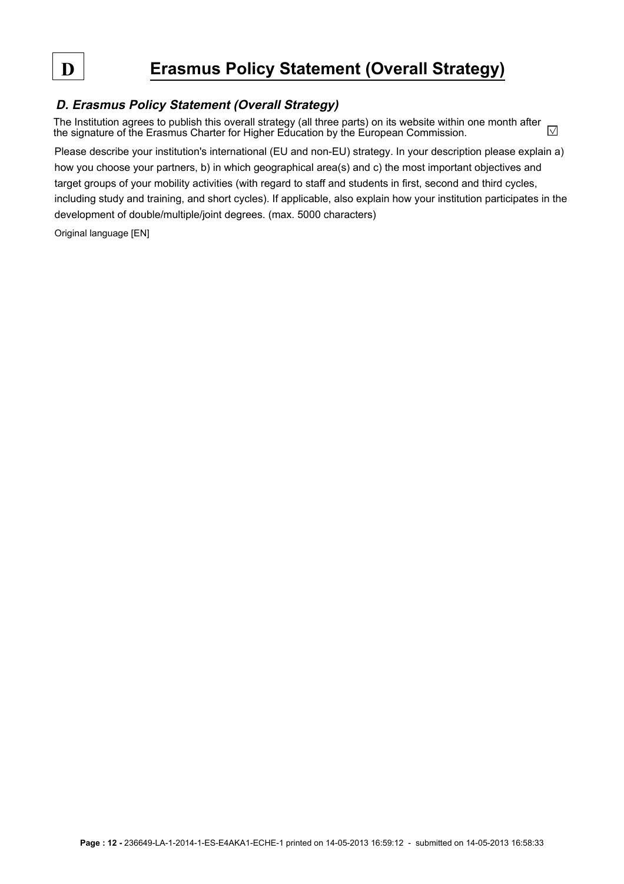# **D Erasmus Policy Statement (Overall Strategy)**

# **D. Erasmus Policy Statement (Overall Strategy)**

The Institution agrees to publish this overall strategy (all three parts) on its website within one month after  $\sqrt{}$ the signature of the Erasmus Charter for Higher Education by the European Commission.

Please describe your institution's international (EU and non-EU) strategy. In your description please explain a) how you choose your partners, b) in which geographical area(s) and c) the most important objectives and target groups of your mobility activities (with regard to staff and students in first, second and third cycles, including study and training, and short cycles). If applicable, also explain how your institution participates in the development of double/multiple/joint degrees. (max. 5000 characters)

Original language [EN]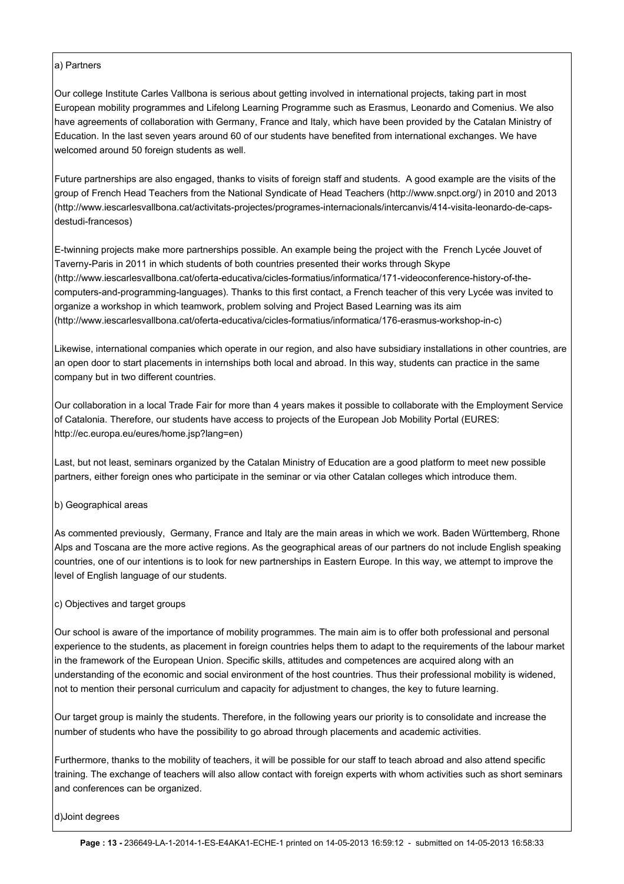#### a) Partners

Our college Institute Carles Vallbona is serious about getting involved in international projects, taking part in most European mobility programmes and Lifelong Learning Programme such as Erasmus, Leonardo and Comenius. We also have agreements of collaboration with Germany, France and Italy, which have been provided by the Catalan Ministry of Education. In the last seven years around 60 of our students have benefited from international exchanges. We have welcomed around 50 foreign students as well.

Future partnerships are also engaged, thanks to visits of foreign staff and students. A good example are the visits of the group of French Head Teachers from the National Syndicate of Head Teachers (http://www.snpct.org/) in 2010 and 2013 (http://www.iescarlesvallbona.cat/activitats-projectes/programes-internacionals/intercanvis/414-visita-leonardo-de-capsdestudi-francesos)

E-twinning projects make more partnerships possible. An example being the project with the French Lycée Jouvet of Taverny-Paris in 2011 in which students of both countries presented their works through Skype (http://www.iescarlesvallbona.cat/oferta-educativa/cicles-formatius/informatica/171-videoconference-history-of-thecomputers-and-programming-languages). Thanks to this first contact, a French teacher of this very Lycée was invited to organize a workshop in which teamwork, problem solving and Project Based Learning was its aim (http://www.iescarlesvallbona.cat/oferta-educativa/cicles-formatius/informatica/176-erasmus-workshop-in-c)

Likewise, international companies which operate in our region, and also have subsidiary installations in other countries, are an open door to start placements in internships both local and abroad. In this way, students can practice in the same company but in two different countries.

Our collaboration in a local Trade Fair for more than 4 years makes it possible to collaborate with the Employment Service of Catalonia. Therefore, our students have access to projects of the European Job Mobility Portal (EURES: http://ec.europa.eu/eures/home.jsp?lang=en)

Last, but not least, seminars organized by the Catalan Ministry of Education are a good platform to meet new possible partners, either foreign ones who participate in the seminar or via other Catalan colleges which introduce them.

## b) Geographical areas

As commented previously, Germany, France and Italy are the main areas in which we work. Baden Württemberg, Rhone Alps and Toscana are the more active regions. As the geographical areas of our partners do not include English speaking countries, one of our intentions is to look for new partnerships in Eastern Europe. In this way, we attempt to improve the level of English language of our students.

## c) Objectives and target groups

Our school is aware of the importance of mobility programmes. The main aim is to offer both professional and personal experience to the students, as placement in foreign countries helps them to adapt to the requirements of the labour market in the framework of the European Union. Specific skills, attitudes and competences are acquired along with an understanding of the economic and social environment of the host countries. Thus their professional mobility is widened, not to mention their personal curriculum and capacity for adjustment to changes, the key to future learning.

Our target group is mainly the students. Therefore, in the following years our priority is to consolidate and increase the number of students who have the possibility to go abroad through placements and academic activities.

Furthermore, thanks to the mobility of teachers, it will be possible for our staff to teach abroad and also attend specific training. The exchange of teachers will also allow contact with foreign experts with whom activities such as short seminars and conferences can be organized.

d)Joint degrees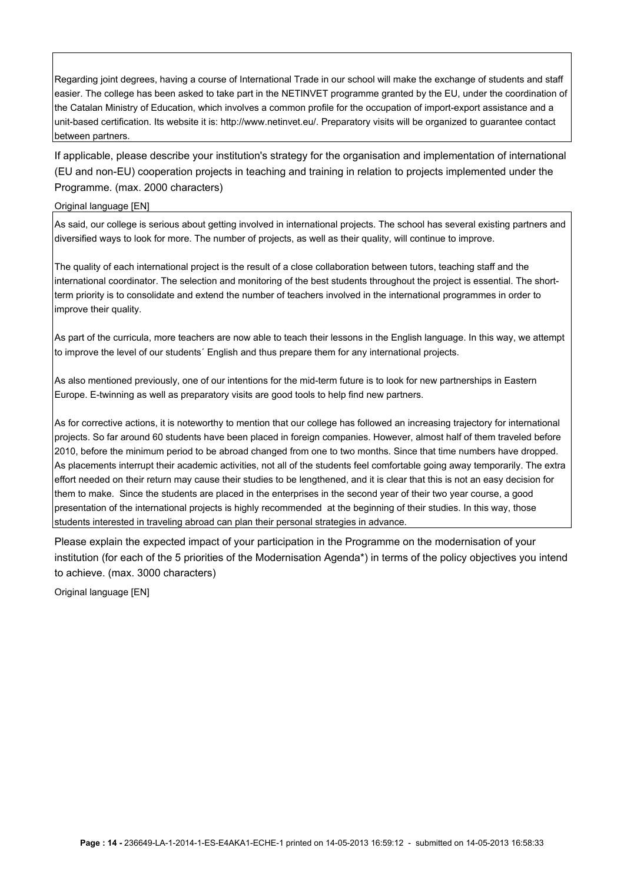Regarding joint degrees, having a course of International Trade in our school will make the exchange of students and staff easier. The college has been asked to take part in the NETINVET programme granted by the EU, under the coordination of the Catalan Ministry of Education, which involves a common profile for the occupation of import-export assistance and a unit-based certification. Its website it is: http://www.netinvet.eu/. Preparatory visits will be organized to guarantee contact between partners.

If applicable, please describe your institution's strategy for the organisation and implementation of international (EU and non-EU) cooperation projects in teaching and training in relation to projects implemented under the Programme. (max. 2000 characters)

#### Original language [EN]

As said, our college is serious about getting involved in international projects. The school has several existing partners and diversified ways to look for more. The number of projects, as well as their quality, will continue to improve.

The quality of each international project is the result of a close collaboration between tutors, teaching staff and the international coordinator. The selection and monitoring of the best students throughout the project is essential. The shortterm priority is to consolidate and extend the number of teachers involved in the international programmes in order to improve their quality.

As part of the curricula, more teachers are now able to teach their lessons in the English language. In this way, we attempt to improve the level of our students´ English and thus prepare them for any international projects.

As also mentioned previously, one of our intentions for the mid-term future is to look for new partnerships in Eastern Europe. E-twinning as well as preparatory visits are good tools to help find new partners.

As for corrective actions, it is noteworthy to mention that our college has followed an increasing trajectory for international projects. So far around 60 students have been placed in foreign companies. However, almost half of them traveled before 2010, before the minimum period to be abroad changed from one to two months. Since that time numbers have dropped. As placements interrupt their academic activities, not all of the students feel comfortable going away temporarily. The extra effort needed on their return may cause their studies to be lengthened, and it is clear that this is not an easy decision for them to make. Since the students are placed in the enterprises in the second year of their two year course, a good presentation of the international projects is highly recommended at the beginning of their studies. In this way, those students interested in traveling abroad can plan their personal strategies in advance.

Please explain the expected impact of your participation in the Programme on the modernisation of your institution (for each of the 5 priorities of the Modernisation Agenda\*) in terms of the policy objectives you intend to achieve. (max. 3000 characters)

Original language [EN]